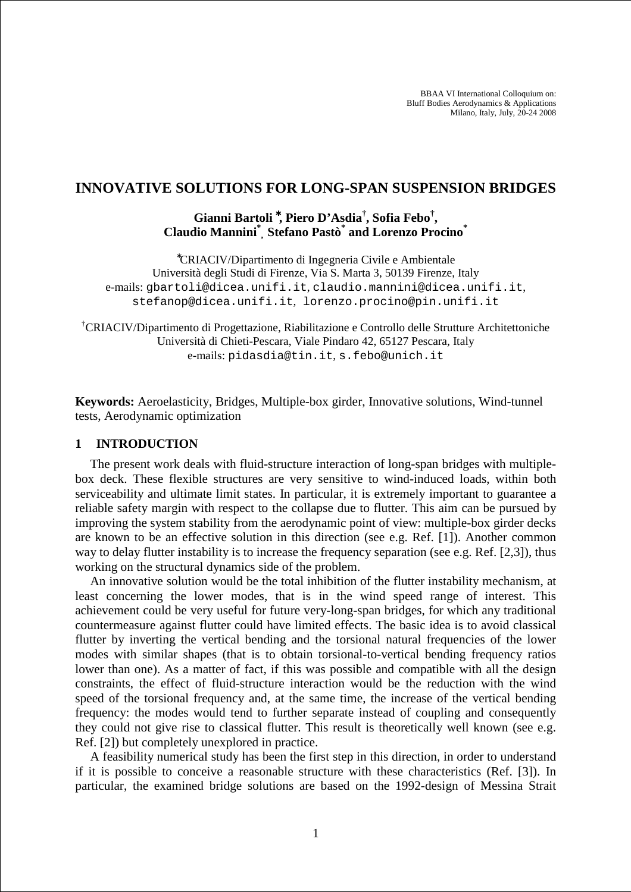BBAA VI International Colloquium on: Bluff Bodies Aerodynamics & Applications Milano, Italy, July, 20-24 2008

## **INNOVATIVE SOLUTIONS FOR LONG-SPAN SUSPENSION BRIDGES**

# **Gianni Bartoli** <sup>∗</sup>**, Piero D'Asdia† , Sofia Febo† , Claudio Mannini\* , Stefano Pastò\* and Lorenzo Procino\***

<sup>∗</sup>CRIACIV/Dipartimento di Ingegneria Civile e Ambientale Università degli Studi di Firenze, Via S. Marta 3, 50139 Firenze, Italy e-mails: gbartoli@dicea.unifi.it, claudio.mannini@dicea.unifi.it, stefanop@dicea.unifi.it, lorenzo.procino@pin.unifi.it

†CRIACIV/Dipartimento di Progettazione, Riabilitazione e Controllo delle Strutture Architettoniche Università di Chieti-Pescara, Viale Pindaro 42, 65127 Pescara, Italy e-mails: pidasdia@tin.it, s.febo@unich.it

**Keywords:** Aeroelasticity, Bridges, Multiple-box girder, Innovative solutions, Wind-tunnel tests, Aerodynamic optimization

#### **1 INTRODUCTION**

The present work deals with fluid-structure interaction of long-span bridges with multiplebox deck. These flexible structures are very sensitive to wind-induced loads, within both serviceability and ultimate limit states. In particular, it is extremely important to guarantee a reliable safety margin with respect to the collapse due to flutter. This aim can be pursued by improving the system stability from the aerodynamic point of view: multiple-box girder decks are known to be an effective solution in this direction (see e.g. Ref. [1]). Another common way to delay flutter instability is to increase the frequency separation (see e.g. Ref. [2,3]), thus working on the structural dynamics side of the problem.

An innovative solution would be the total inhibition of the flutter instability mechanism, at least concerning the lower modes, that is in the wind speed range of interest. This achievement could be very useful for future very-long-span bridges, for which any traditional countermeasure against flutter could have limited effects. The basic idea is to avoid classical flutter by inverting the vertical bending and the torsional natural frequencies of the lower modes with similar shapes (that is to obtain torsional-to-vertical bending frequency ratios lower than one). As a matter of fact, if this was possible and compatible with all the design constraints, the effect of fluid-structure interaction would be the reduction with the wind speed of the torsional frequency and, at the same time, the increase of the vertical bending frequency: the modes would tend to further separate instead of coupling and consequently they could not give rise to classical flutter. This result is theoretically well known (see e.g. Ref. [2]) but completely unexplored in practice.

A feasibility numerical study has been the first step in this direction, in order to understand if it is possible to conceive a reasonable structure with these characteristics (Ref. [3]). In particular, the examined bridge solutions are based on the 1992-design of Messina Strait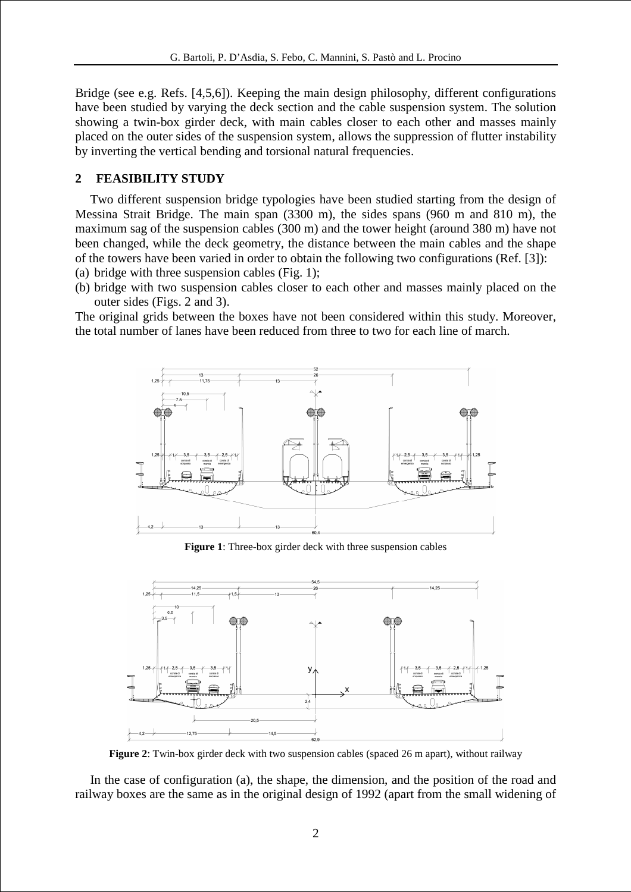Bridge (see e.g. Refs. [4,5,6]). Keeping the main design philosophy, different configurations have been studied by varying the deck section and the cable suspension system. The solution showing a twin-box girder deck, with main cables closer to each other and masses mainly placed on the outer sides of the suspension system, allows the suppression of flutter instability by inverting the vertical bending and torsional natural frequencies.

#### **2 FEASIBILITY STUDY**

Two different suspension bridge typologies have been studied starting from the design of Messina Strait Bridge. The main span (3300 m), the sides spans (960 m and 810 m), the maximum sag of the suspension cables (300 m) and the tower height (around 380 m) have not been changed, while the deck geometry, the distance between the main cables and the shape of the towers have been varied in order to obtain the following two configurations (Ref. [3]): (a) bridge with three suspension cables (Fig. 1);

(b) bridge with two suspension cables closer to each other and masses mainly placed on the outer sides (Figs. 2 and 3).

The original grids between the boxes have not been considered within this study. Moreover, the total number of lanes have been reduced from three to two for each line of march.



**Figure 1**: Three-box girder deck with three suspension cables



**Figure 2**: Twin-box girder deck with two suspension cables (spaced 26 m apart), without railway

In the case of configuration (a), the shape, the dimension, and the position of the road and railway boxes are the same as in the original design of 1992 (apart from the small widening of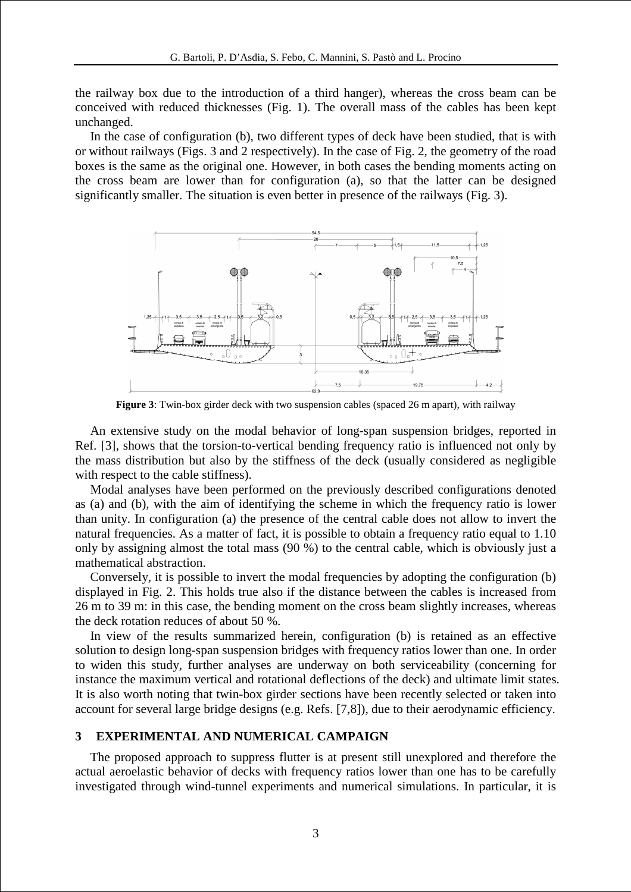the railway box due to the introduction of a third hanger), whereas the cross beam can be conceived with reduced thicknesses (Fig. 1). The overall mass of the cables has been kept unchanged.

In the case of configuration (b), two different types of deck have been studied, that is with or without railways (Figs. 3 and 2 respectively). In the case of Fig. 2, the geometry of the road boxes is the same as the original one. However, in both cases the bending moments acting on the cross beam are lower than for configuration (a), so that the latter can be designed significantly smaller. The situation is even better in presence of the railways (Fig. 3).



**Figure 3**: Twin-box girder deck with two suspension cables (spaced 26 m apart), with railway

An extensive study on the modal behavior of long-span suspension bridges, reported in Ref. [3], shows that the torsion-to-vertical bending frequency ratio is influenced not only by the mass distribution but also by the stiffness of the deck (usually considered as negligible with respect to the cable stiffness).

Modal analyses have been performed on the previously described configurations denoted as (a) and (b), with the aim of identifying the scheme in which the frequency ratio is lower than unity. In configuration (a) the presence of the central cable does not allow to invert the natural frequencies. As a matter of fact, it is possible to obtain a frequency ratio equal to 1.10 only by assigning almost the total mass (90 %) to the central cable, which is obviously just a mathematical abstraction.

Conversely, it is possible to invert the modal frequencies by adopting the configuration (b) displayed in Fig. 2. This holds true also if the distance between the cables is increased from 26 m to 39 m: in this case, the bending moment on the cross beam slightly increases, whereas the deck rotation reduces of about 50 %.

In view of the results summarized herein, configuration (b) is retained as an effective solution to design long-span suspension bridges with frequency ratios lower than one. In order to widen this study, further analyses are underway on both serviceability (concerning for instance the maximum vertical and rotational deflections of the deck) and ultimate limit states. It is also worth noting that twin-box girder sections have been recently selected or taken into account for several large bridge designs (e.g. Refs. [7,8]), due to their aerodynamic efficiency.

#### **3 EXPERIMENTAL AND NUMERICAL CAMPAIGN**

The proposed approach to suppress flutter is at present still unexplored and therefore the actual aeroelastic behavior of decks with frequency ratios lower than one has to be carefully investigated through wind-tunnel experiments and numerical simulations. In particular, it is